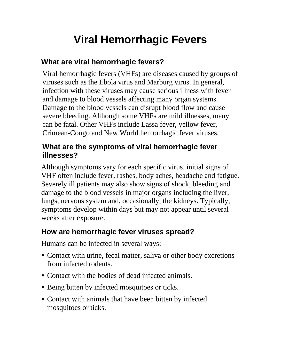# **Viral Hemorrhagic Fevers**

## **What are viral hemorrhagic fevers?**

Viral hemorrhagic fevers (VHFs) are diseases caused by groups of viruses such as the Ebola virus and Marburg virus. In general, infection with these viruses may cause serious illness with fever and damage to blood vessels affecting many organ systems. Damage to the blood vessels can disrupt blood flow and cause severe bleeding. Although some VHFs are mild illnesses, many can be fatal. Other VHFs include Lassa fever, yellow fever, Crimean-Congo and New World hemorrhagic fever viruses.

#### **What are the symptoms of viral hemorrhagic fever illnesses?**

Although symptoms vary for each specific virus, initial signs of VHF often include fever, rashes, body aches, headache and fatigue. Severely ill patients may also show signs of shock, bleeding and damage to the blood vessels in major organs including the liver, lungs, nervous system and, occasionally, the kidneys. Typically, symptoms develop within days but may not appear until several weeks after exposure.

## **How are hemorrhagic fever viruses spread?**

Humans can be infected in several ways:

- Contact with urine, fecal matter, saliva or other body excretions from infected rodents.
- Contact with the bodies of dead infected animals.
- Being bitten by infected mosquitoes or ticks.
- Contact with animals that have been bitten by infected mosquitoes or ticks.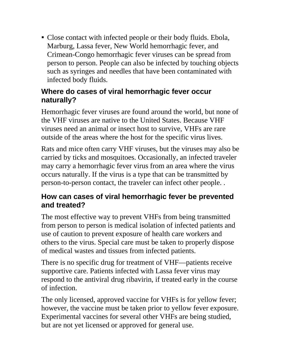Close contact with infected people or their body fluids. Ebola, Marburg, Lassa fever, New World hemorrhagic fever, and Crimean-Congo hemorrhagic fever viruses can be spread from person to person. People can also be infected by touching objects such as syringes and needles that have been contaminated with infected body fluids.

#### **Where do cases of viral hemorrhagic fever occur naturally?**

Hemorrhagic fever viruses are found around the world, but none of the VHF viruses are native to the United States. Because VHF viruses need an animal or insect host to survive, VHFs are rare outside of the areas where the host for the specific virus lives.

Rats and mice often carry VHF viruses, but the viruses may also be carried by ticks and mosquitoes. Occasionally, an infected traveler may carry a hemorrhagic fever virus from an area where the virus occurs naturally. If the virus is a type that can be transmitted by person-to-person contact, the traveler can infect other people. .

#### **How can cases of viral hemorrhagic fever be prevented and treated?**

The most effective way to prevent VHFs from being transmitted from person to person is medical isolation of infected patients and use of caution to prevent exposure of health care workers and others to the virus. Special care must be taken to properly dispose of medical wastes and tissues from infected patients.

There is no specific drug for treatment of VHF—patients receive supportive care. Patients infected with Lassa fever virus may respond to the antiviral drug ribavirin, if treated early in the course of infection.

The only licensed, approved vaccine for VHFs is for yellow fever; however, the vaccine must be taken prior to yellow fever exposure. Experimental vaccines for several other VHFs are being studied, but are not yet licensed or approved for general use.